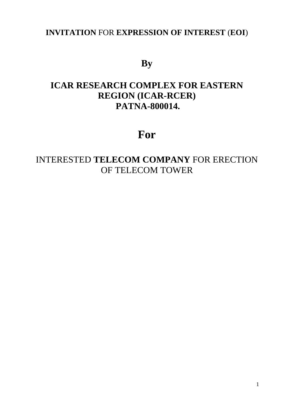### **INVITATION** FOR **EXPRESSION OF INTEREST** (**EOI**)

## **By**

## **ICAR RESEARCH COMPLEX FOR EASTERN REGION (ICAR-RCER) PATNA-800014.**

# **For**

## INTERESTED **TELECOM COMPANY** FOR ERECTION OF TELECOM TOWER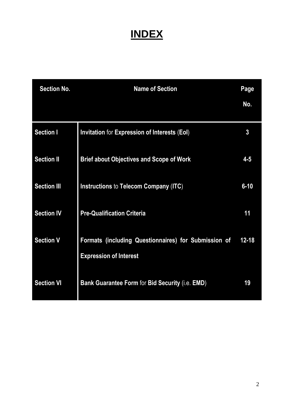# **INDEX**

| <b>Section No.</b> | <b>Name of Section</b>                                                                | Page<br>No. |
|--------------------|---------------------------------------------------------------------------------------|-------------|
|                    |                                                                                       |             |
| <b>Section I</b>   | Invitation for Expression of Interests (EoI)                                          | 3           |
| <b>Section II</b>  | <b>Brief about Objectives and Scope of Work</b>                                       | $4 - 5$     |
| <b>Section III</b> | Instructions to Telecom Company (ITC)                                                 | $6 - 10$    |
| <b>Section IV</b>  | <b>Pre-Qualification Criteria</b>                                                     | 11          |
| <b>Section V</b>   | Formats (including Questionnaires) for Submission of<br><b>Expression of Interest</b> | $12 - 18$   |
| <b>Section VI</b>  | Bank Guarantee Form for Bid Security (i.e. EMD)                                       | 19          |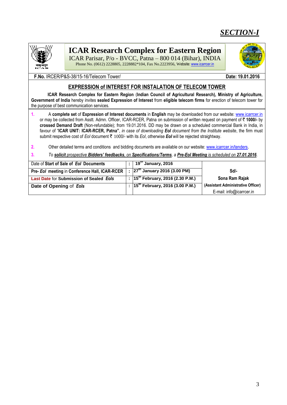### *SECTION-I*



### **ICAR Research Complex for Eastern Region**

ICAR Parisar, P/o - BVCC, Patna – 800 014 (Bihar), INDIA Phone No. (0612) 2228805, 2228882\*104, Fax No.2223956, Website[: www.icarrcer.in](http://www.icarrcer.in/)



#### **EXPRESSION of INTEREST FOR INSTALATION OF TELECOM TOWER**

 **ICAR Research Complex for Eastern Region** (**Indian Council of Agricultural Research), Ministry of Agriculture, Government of India** hereby invites **sealed Expression of Interest** from **eligible telecom firms** for erection of telecom tower for the purpose of best communication services.

**1.** A **complete set** of **Expression of Interest documents** in **English** may be downloaded from our website: [www.icarrcer.in](http://www.icarrcer.in/)  or may be collected from Asstt. Admn. Officer, ICAR-RCER, Patna on submission of written request on payment of ` **1000/-** by **crossed Demand Draft** (Non-refundable); from 19.01.2016. DD may be drawn on a scheduled commercial Bank in India, in favour of "**ICAR UNIT: ICAR-RCER, Patna"**, *in case of downloading EoI document from the Institute website*, the firm must submit respective cost of *EoI* document ₹ 1000/- with its *EoI*, otherwise *EoI* will be rejected straightway.

**2.** Other detailed terms and conditions and bidding documents are available on our website[: www.icarrcer.in/tenders](http://www.icarrcer.in/tenders).

**3.** *To solicit prospective Bidders' feedbacks, on Specifications/Terms, a Pre-EoI Meeting is scheduled on 27.01.2016*.

| Date of Start of Sale of Eol Documents         | $\frac{1}{2}$ 19 <sup>th</sup> January, 2016 |                                    |
|------------------------------------------------|----------------------------------------------|------------------------------------|
| Pre- Eol meeting in Conference Hall, ICAR-RCER | : $27^{th}$ January 2016 (3.00 PM)           | Sd/-                               |
| Last Date for Submission of Sealed Eols        | : $15^{th}$ February, 2016 (2.30 P.M.)       | Sona Ram Rajak                     |
| Date of Opening of Eols                        | : $15^{th}$ February, 2016 (3.00 P.M.)       | (Assistant Administrative Officer) |
|                                                |                                              | E-mail: info@icarrcer.in           |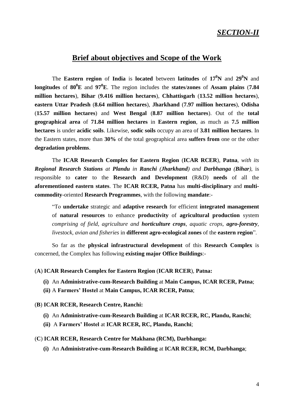### *SECTION-II*

### **Brief about objectives and Scope of the Work**

The **Eastern region** of **India** is **located** between **latitudes** of **17<sup>0</sup>N** and **29<sup>0</sup>N** and **longitudes** of **80<sup>0</sup>E** and **97<sup>0</sup>E**. The region includes the **states**/**zones** of **Assam plains** (**7.84 million hectares**), **Bihar** (**9.416 million hectares**), **Chhattisgarh** (**13.52 million hectares**), **eastern Uttar Pradesh** (**8.64 million hectares**), **Jharkhand** (**7.97 million hectares**), **Odisha**  (**15.57 million hectares**) and **West Bengal** (**8.87 million hectares**). Out of the **total geographical area** of **71.84 million hectares** in **Eastern region**, as much as **7.5 million hectares** is under **acidic soils**. Likewise, **sodic soils** occupy an area of **3.81 million hectares**. In the Eastern states, more than **30%** of the total geographical area **suffers from** one or the other **degradation problems**.

The **ICAR Research Complex for Eastern Region** (**ICAR RCER**), **Patna**, *with its Regional Research Stations at Plandu in Ranchi (Jharkhand) and Darbhanga (Bihar)*, is responsible to **cater** to the **Research and Development** (R&D) **needs** of all the **aforementioned eastern states**. The **ICAR RCER, Patna** has **multi-disciplinary** and **multicommodity**-oriented **Research Programmes**, with the following **mandate**:-

"To **undertake** strategic and **adaptive research** for efficient **integrated management**  of **natural resources** to enhance **productivity** of **agricultural production** system *comprising of field, agriculture and horticulture crops, aquatic crops, agro-forestry, livestock, avian and fisheries* in **different agro-ecological zones** of the **eastern region**".

So far as the **physical infrastructural development** of this **Research Complex** is concerned, the Complex has following **existing major Office Buildings**:-

#### (**A**) **ICAR Research Complex for Eastern Region** (**ICAR RCER**), **Patna:**

- **(i)** An **Administrative-cum-Research Building** at **Main Campus, ICAR RCER, Patna**;
- **(ii)** A **Farmers' Hostel** at **Main Campus, ICAR RCER, Patna**;
- (**B**) **ICAR RCER, Research Centre, Ranchi:**
	- **(i)** An **Administrative-cum-Research Building** at **ICAR RCER, RC, Plandu, Ranchi**;
	- **(ii)** A **Farmers' Hostel** at **ICAR RCER, RC, Plandu, Ranchi**;
- (**C**) **ICAR RCER, Research Centre for Makhana (RCM), Darbhanga:**
	- **(i)** An **Administrative-cum-Research Building** at **ICAR RCER, RCM, Darbhanga**;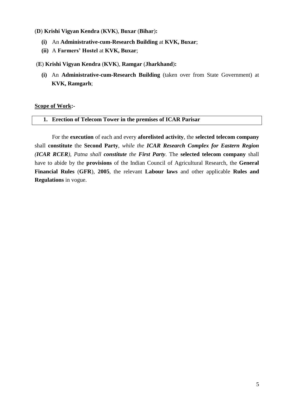#### (**D**) **Krishi Vigyan Kendra** (**KVK**), **Buxar** (**Bihar**)**:**

- **(i)** An **Administrative-cum-Research Building** at **KVK, Buxar**;
- **(ii)** A **Farmers' Hostel** at **KVK, Buxar**;

#### (**E**) **Krishi Vigyan Kendra** (**KVK**), **Ramgar** (**Jharkhand**)**:**

**(i)** An **Administrative-cum-Research Building** (taken over from State Government) at **KVK, Ramgarh**;

#### **Scope of Work:-**

#### **1. Erection of Telecom Tower in the premises of ICAR Parisar**

For the **execution** of each and every **aforelisted activity**, the **selected telecom company** shall **constitute** the **Second Party**, *while the ICAR Research Complex for Eastern Region (ICAR RCER), Patna shall constitute the First Party*. The **selected telecom company** shall have to abide by the **provisions** of the Indian Council of Agricultural Research, the **General Financial Rules** (**GFR**), **2005**, the relevant **Labour laws** and other applicable **Rules and Regulations** in vogue.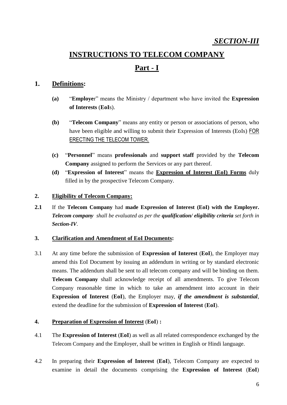# **INSTRUCTIONS TO TELECOM COMPANY Part - I**

### **1. Definitions:**

- **(a)** "**Employe**r" means the Ministry / department who have invited the **Expression of Interests** (**EoI**s).
- **(b)** "**Telecom Company**" means any entity or person or associations of person, who have been eligible and willing to submit their Expression of Interests (EoIs) FOR ERECTING THE TELECOM TOWER.
- **(c)** "**Personnel**" means **professionals** and **support staff** provided by the **Telecom Company** assigned to perform the Services or any part thereof.
- **(d)** "**Expression of Interest**" means the **Expression of Interest (EoI) Forms** duly filled in by the prospective Telecom Company.

#### **2. Eligibility of Telecom Company:**

**2.1** If the **Telecom Company** had **made Expression of Interest (EoI) with the Employer.**  *Telecom company shall be evaluated as per the qualification/ eligibility criteria set forth in Section-IV*.

#### **3. Clarification and Amendment of EoI Documents:**

3.1 At any time before the submission of **Expression of Interest** (**EoI**), the Employer may amend this EoI Document by issuing an addendum in writing or by standard electronic means. The addendum shall be sent to all telecom company and will be binding on them. **Telecom Company** shall acknowledge receipt of all amendments. To give Telecom Company reasonable time in which to take an amendment into account in their **Expression of Interest** (**EoI**), the Employer may, *if the amendment is substantial*, extend the deadline for the submission of **Expression of Interest** (**EoI**).

#### **4. Preparation of Expression of Interest** (**EoI**) **:**

- 4.1 The **Expression of Interest** (**EoI**) as well as all related correspondence exchanged by the Telecom Company and the Employer, shall be written in English or Hindi language.
- 4.2 In preparing their **Expression of Interest** (**EoI**), Telecom Company are expected to examine in detail the documents comprising the **Expression of Interest** (**EoI**)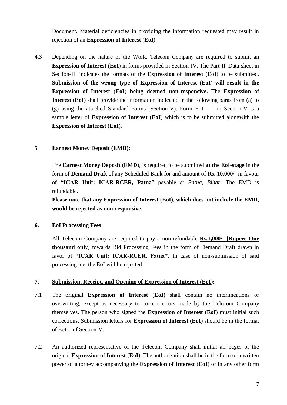Document. Material deficiencies in providing the information requested may result in rejection of an **Expression of Interest** (**EoI**).

4.3 Depending on the nature of the Work, Telecom Company are required to submit an **Expression of Interest** (**EoI**) in forms provided in Section-IV. The Part-II, Data-sheet in Section-III indicates the formats of the **Expression of Interest** (**EoI**) to be submitted. **Submission of the wrong type of Expression of Interest** (**EoI**) **will result in the Expression of Interest** (**EoI**) **being deemed non-responsive.** The **Expression of Interest** (**EoI**) shall provide the information indicated in the following paras from (a) to (g) using the attached Standard Forms (Section-V). Form EoI – 1 in Section-V is a sample letter of **Expression of Interest** (**EoI**) which is to be submitted alongwith the **Expression of Interest** (**EoI**).

#### **5 Earnest Money Deposit (EMD):**

The **Earnest Money Deposit (EMD**), is required to be submitted **at the EoI-stage** in the form of **Demand Draft** of any Scheduled Bank for and amount of **Rs. 10,000/-** in favour of **"ICAR Unit: ICAR-RCER, Patna**" payable at *Patna, Bihar*. The EMD is refundable.

**Please note that any Expression of Interest** (**EoI**)**, which does not include the EMD, would be rejected as non-responsive.**

#### **6. EoI Processing Fees:**

All Telecom Company are required to pay a non-refundable **Rs.1,000/- [Rupees One thousand only]** towards Bid Processing Fees in the form of Demand Draft drawn in favor of **"ICAR Unit: ICAR-RCER, Patna"**. In case of non-submission of said processing fee, the EoI will be rejected.

#### **7. Submission, Receipt, and Opening of Expression of Interest** (**EoI**)**:**

- 7.1 The original **Expression of Interest** (**EoI**) shall contain no interlineations or overwriting, except as necessary to correct errors made by the Telecom Company themselves. The person who signed the **Expression of Interest** (**EoI**) must initial such corrections. Submission letters for **Expression of Interest** (**EoI**) should be in the format of EoI-1 of Section-V.
- 7.2 An authorized representative of the Telecom Company shall initial all pages of the original **Expression of Interest** (**EoI**). The authorization shall be in the form of a written power of attorney accompanying the **Expression of Interest** (**EoI**) or in any other form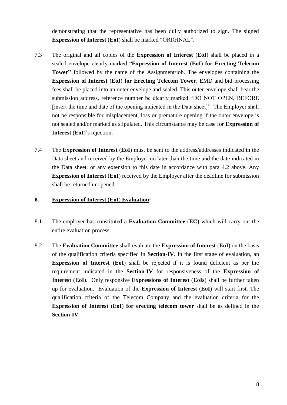demonstrating that the representative has been dully authorized to sign. The signed **Expression of Interest** (**EoI**) shall be marked "ORIGINAL".

- 7.3 The original and all copies of the **Expression of Interest** (**EoI**) shall be placed in a sealed envelope clearly marked "**Expression of Interest** (**EoI**) **for Erecting Telecom Tower"** followed by the name of the Assignment/job. The envelopes containing the **Expression of Interest** (**EoI**) **for Erecting Telecom Tower**, EMD and bid processing fees shall be placed into an outer envelope and sealed. This outer envelope shall bear the submission address, reference number be clearly marked "DO NOT OPEN, BEFORE [insert the time and date of the opening indicated in the Data sheet]". The Employer shall not be responsible for misplacement, loss or premature opening if the outer envelope is not sealed and/or marked as stipulated. This circumstance may be case for **Expression of Interest** (**EoI**)'s rejection**.**
- 7.4 The **Expression of Interest** (**EoI**) must be sent to the address/addresses indicated in the Data sheet and received by the Employer no later than the time and the date indicated in the Data sheet, or any extension to this date in accordance with para 4.2 above. Any **Expression of Interest** (**EoI**) received by the Employer after the deadline for submission shall be returned unopened.

#### **8. Expression of Interest** (**EoI**) **Evaluation:**

- 8.1 The employer has constituted a **Evaluation Committee** (**EC**) which will carry out the entire evaluation process.
- 8.2 The **Evaluation Committee** shall evaluate the **Expression of Interest** (**EoI**) on the basis of the qualification criteria specified in **Section-IV**. In the first stage of evaluation, an **Expression of Interest** (**EoI**) shall be rejected if it is found deficient as per the requirement indicated in the **Section-IV** for responsiveness of the **Expression of Interest** (**EoI**). Only responsive **Expressions of Interest** (**EoIs**) shall be further taken up for evaluation. Evaluation of the **Expression of Interest** (**EoI**) will start first. The qualification criteria of the Telecom Company and the evaluation criteria for the **Expression of Interest** (**EoI**) **for erecting telecom tower** shall be as defined in the **Section-IV**.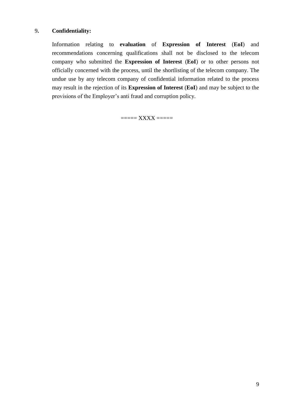#### 9**. Confidentiality:**

Information relating to **evaluation** of **Expression of Interest** (**EoI**) and recommendations concerning qualifications shall not be disclosed to the telecom company who submitted the **Expression of Interest** (**EoI**) or to other persons not officially concerned with the process, until the shortlisting of the telecom company. The undue use by any telecom company of confidential information related to the process may result in the rejection of its **Expression of Interest** (**EoI**) and may be subject to the provisions of the Employer's anti fraud and corruption policy.

===== XXXX =====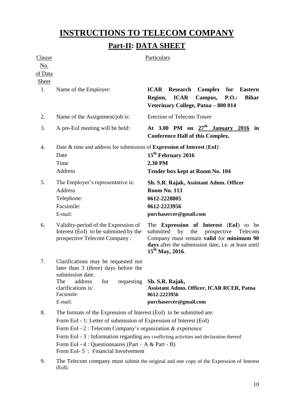# **INSTRUCTIONS TO TELECOM COMPANY Part-II: DATA SHEET**

| Clause<br><u>No.</u><br>of Data |                                                                                                                                                                                                                                                                                                                                                                                                   | Particulars                                                                                                                                                                                                                               |  |  |  |  |
|---------------------------------|---------------------------------------------------------------------------------------------------------------------------------------------------------------------------------------------------------------------------------------------------------------------------------------------------------------------------------------------------------------------------------------------------|-------------------------------------------------------------------------------------------------------------------------------------------------------------------------------------------------------------------------------------------|--|--|--|--|
| Sheet<br>1.                     | Name of the Employer:                                                                                                                                                                                                                                                                                                                                                                             | <b>Research</b><br>Complex for<br><b>ICAR</b><br><b>Eastern</b><br><b>ICAR</b><br>Campus,<br>P.O.<br><b>Bihar</b><br>Region,<br>Veterinary College, Patna - 800 014                                                                       |  |  |  |  |
| 2.                              | Name of the Assignment/job is:                                                                                                                                                                                                                                                                                                                                                                    | <b>Erection of Telecom Tower</b>                                                                                                                                                                                                          |  |  |  |  |
| 3.                              | A pre-EoI meeting will be held:                                                                                                                                                                                                                                                                                                                                                                   | At 3.00 PM on $27th$ January 2016 in<br><b>Conference Hall of this Complex.</b>                                                                                                                                                           |  |  |  |  |
| 4.                              | Date & time and address for submission of Expression of Interest (EoI):<br>Date<br>Time<br>Address                                                                                                                                                                                                                                                                                                | 15 <sup>th</sup> February 2016<br>2.30 PM<br>Tender box kept at Room No. 104                                                                                                                                                              |  |  |  |  |
| 5.                              | The Employer's representative is:<br><b>Address</b><br>Telephone:<br>Facsimile:<br>E-mail:                                                                                                                                                                                                                                                                                                        | Sh. S.R. Rajak, Assistant Admn. Officer<br><b>Room No. 113</b><br>0612-2228805<br>0612-2223956<br>purchasercer@gmail.com                                                                                                                  |  |  |  |  |
| 6.                              | Validity-period of the Expression of<br>Interest (EoI) to be submitted by the<br>prospective Telecom Company:                                                                                                                                                                                                                                                                                     | The <b>Expression of Interest</b> ( <b>EoI</b> ) to be<br>submitted<br>prospective Telecom<br>by<br>the<br>Company must remain valid for minimum 90<br>days after the submission date, i.e. at least until<br>15 <sup>th</sup> May, 2016. |  |  |  |  |
| 7.                              | Clarifications may be requested not<br>later than 3 (three) days before the<br>submission date.<br>The<br>address<br>for<br>requesting<br>clarifications is:<br>Facsimile:<br>E-mail:                                                                                                                                                                                                             | Sh. S.R. Rajak,<br><b>Assistant Admn. Officer, ICAR RCER, Patna</b><br>0612-2223956<br>purchasercer@gmail.com                                                                                                                             |  |  |  |  |
| 8.                              | The formats of the Expression of Interest (EoI) to be submitted are:<br>Form EoI - 1: Letter of submission of Expression of Interest (EoI)<br>Form EoI - 2 : Telecom Company's organization & experience<br>Form EoI - 3 : Information regarding any conflicting activities and declaration thereof.<br>Form EoI - 4 : Questionnaires (Part – A & Part - B)<br>Form EoI-5 : Financial Involvement |                                                                                                                                                                                                                                           |  |  |  |  |
| 9.                              | (EoI).                                                                                                                                                                                                                                                                                                                                                                                            | The Telecom company must submit the original and one copy of the Expression of Interest                                                                                                                                                   |  |  |  |  |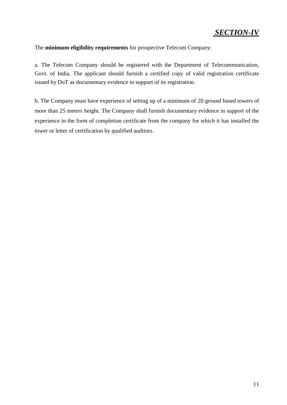#### The **minimum eligibility requirements** for prospective Telecom Company:

a. The Telecom Company should be registered with the Department of Telecommunication, Govt. of India. The applicant should furnish a certified copy of valid registration certificate issued by DoT as documentary evidence in support of its registration.

b. The Company must have experience of setting up of a minimum of 20 ground based towers of more than 25 meters height. The Company shall furnish documentary evidence in support of the experience in the form of completion certificate from the company for which it has installed the tower or letter of certification by qualified auditors.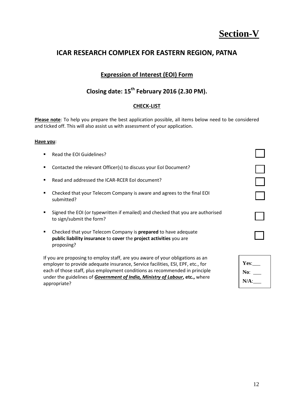# **Section-V**

### **ICAR RESEARCH COMPLEX FOR EASTERN REGION, PATNA**

### **Expression of Interest (EOI) Form**

### **Closing date: 15th February 2016 (2.30 PM).**

#### **CHECK-LIST**

**Please note**: To help you prepare the best application possible, all items below need to be considered and ticked off. This will also assist us with assessment of your application.

#### **Have you**:

- Read the EOI Guidelines?
- Contacted the relevant Officer(s) to discuss your EoI Document?
- Read and addressed the ICAR-RCER EoI document?
- Checked that your Telecom Company is aware and agrees to the final EOI submitted?
- **Signed the EOI (or typewritten if emailed) and checked that you are authorised** to sign/submit the form?
- Checked that your Telecom Company is **prepared** to have adequate **public liability insurance** to **cover** the **project activities** you are proposing?

If you are proposing to employ staff, are you aware of your obligations as an employer to provide adequate insurance, Service facilities, ESI, EPF, etc., for each of those staff, plus employment conditions as recommended in principle under the guidelines of *Government of India, Ministry of Labour***, etc.,** where appropriate?

| Yes:    |  |
|---------|--|
| No:     |  |
| $N/A$ : |  |
|         |  |

 $\overline{\phantom{0}}$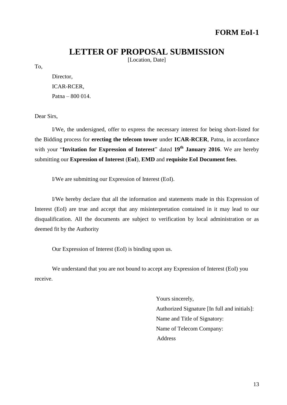### **LETTER OF PROPOSAL SUBMISSION**

[Location, Date]

To,

Director, ICAR-RCER, Patna – 800 014.

Dear Sirs,

I/We, the undersigned, offer to express the necessary interest for being short-listed for the Bidding process for **erecting the telecom tower** under **ICAR-RCER**, Patna, in accordance with your "**Invitation for Expression of Interest**" dated **19th January 2016**. We are hereby submitting our **Expression of Interest** (**EoI**), **EMD** and **requisite EoI Document fees**.

I/We are submitting our Expression of Interest (EoI).

I/We hereby declare that all the information and statements made in this Expression of Interest (EoI) are true and accept that any misinterpretation contained in it may lead to our disqualification. All the documents are subject to verification by local administration or as deemed fit by the Authority

Our Expression of Interest (EoI) is binding upon us.

We understand that you are not bound to accept any Expression of Interest (EoI) you receive.

> Yours sincerely, Authorized Signature [In full and initials]: Name and Title of Signatory: Name of Telecom Company: Address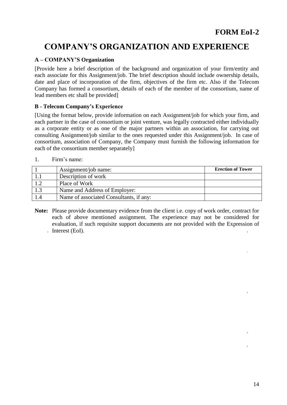## **COMPANY'S ORGANIZATION AND EXPERIENCE**

#### **A – COMPANY'S Organization**

[Provide here a brief description of the background and organization of your firm/entity and each associate for this Assignment/job. The brief description should include ownership details, date and place of incorporation of the firm, objectives of the firm etc. Also if the Telecom Company has formed a consortium, details of each of the member of the consortium, name of lead members etc shall be provided]

#### **B - Telecom Company's Experience**

[Using the format below, provide information on each Assignment/job for which your firm, and each partner in the case of consortium or joint venture, was legally contracted either individually as a corporate entity or as one of the major partners within an association, for carrying out consulting Assignment/job similar to the ones requested under this Assignment/job. In case of consortium, association of Company, the Company must furnish the following information for each of the consortium member separately]

1. Firm's name:

|     | Assignment/job name:                    | <b>Erection of Tower</b> |
|-----|-----------------------------------------|--------------------------|
|     | Description of work                     |                          |
| 1.2 | Place of Work                           |                          |
| 1.3 | Name and Address of Employer:           |                          |
| 1.4 | Name of associated Consultants, if any: |                          |

**Note:** Please provide documentary evidence from the client i.e. copy of work order, contract for each of above mentioned assignment. The experience may not be considered for evaluation, if such requisite support documents are not provided with the Expression of Interest (EoI).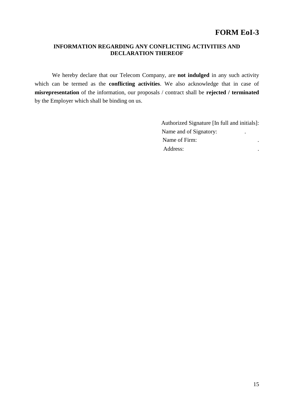### **FORM EoI-3**

#### **INFORMATION REGARDING ANY CONFLICTING ACTIVITIES AND DECLARATION THEREOF**

We hereby declare that our Telecom Company, are **not indulged** in any such activity which can be termed as the **conflicting activities**. We also acknowledge that in case of **misrepresentation** of the information, our proposals / contract shall be **rejected / terminated** by the Employer which shall be binding on us.

| Authorized Signature [In full and initials]: |   |  |
|----------------------------------------------|---|--|
| Name and of Signatory:                       | ٠ |  |
| Name of Firm:                                |   |  |
| Address:                                     |   |  |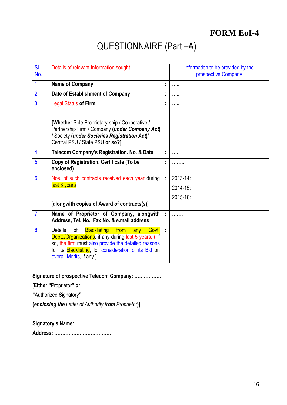## **FORM EoI-4**

# QUESTIONNAIRE (Part -A)

| SI.<br>No.     | Details of relevant Information sought                                                                                                                                                                                                                                         |                      | Information to be provided by the<br>prospective Company |
|----------------|--------------------------------------------------------------------------------------------------------------------------------------------------------------------------------------------------------------------------------------------------------------------------------|----------------------|----------------------------------------------------------|
| $\mathbf{1}$ . | Name of Company                                                                                                                                                                                                                                                                | t                    | .                                                        |
| 2.             | Date of Establishment of Company                                                                                                                                                                                                                                               | ÷,                   | .                                                        |
| 3 <sub>1</sub> | <b>Legal Status of Firm</b>                                                                                                                                                                                                                                                    | ÷                    | .                                                        |
|                | [Whether Sole Proprietary-ship / Cooperative /<br>Partnership Firm / Company (under Company Act)<br>/ Society (under Societies Registration Act)/<br>Central PSU / State PSU or so?]                                                                                           |                      |                                                          |
| 4.             | Telecom Company's Registration. No. & Date                                                                                                                                                                                                                                     | t,                   |                                                          |
| 5 <sub>1</sub> | Copy of Registration. Certificate (To be<br>enclosed)                                                                                                                                                                                                                          | t.                   |                                                          |
| 6.             | Nos. of such contracts received each year during                                                                                                                                                                                                                               | ÷.                   | 2013-14:                                                 |
|                | last 3 years                                                                                                                                                                                                                                                                   |                      | 2014-15:                                                 |
|                |                                                                                                                                                                                                                                                                                |                      | 2015-16:                                                 |
|                | [alongwith copies of Award of contracts(s)]                                                                                                                                                                                                                                    |                      |                                                          |
| 7 <sub>1</sub> | Name of Proprietor of Company, alongwith<br>Address, Tel. No., Fax No. & e.mail address                                                                                                                                                                                        | $\ddot{\phantom{a}}$ |                                                          |
| 8.             | <b>Blacklisting</b><br><b>Details</b><br>of<br>from<br>any Govt.<br>Deptt / Organizations, if any during last 5 years. (If<br>so, the firm must also provide the detailed reasons<br>for its <b>blacklisting</b> , for consideration of its Bid on<br>overall Merits, if any.) | ÷                    |                                                          |

**Signature of prospective Telecom Company: ………………**

[**Either "**Proprietor**" or** 

**"**Authorized Signatory**"** 

**(***enclosing the Letter of Authority from Proprietor***)]**

**Signatory's Name: ………………. Address: ………………………………**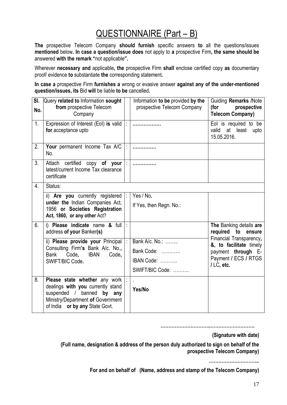# QUESTIONNAIRE (Part – B)

**The** prospective Telecom Company **should furnish** specific answers **to** all the questions/issues **mentioned** below**. In case a question/issue does** not apply to **a** prospective Firm**, the same should be**  answered **with the remark "**not applicable**".** 

Wherever **necessary and** applicable**, the** prospective Firm **shall** enclose certified copy **as** documentary proof/ evidence **to** substantiate **the** corresponding statement**.** 

**In case a** prospective Firm **furnishes a** wrong or evasive answer **against any of the under-mentioned question/issues, its** Bid **will** be liable **to be** cancelled**.** 

| SI.<br>No.       | Query related to Information sought<br>from prospective Telecom<br>Company                                                                                                |   | Information to be provided by the<br>prospective Telecom Company | <b>Guiding Remarks /Note</b><br>(for<br>prospective<br><b>Telecom Company)</b>                                |
|------------------|---------------------------------------------------------------------------------------------------------------------------------------------------------------------------|---|------------------------------------------------------------------|---------------------------------------------------------------------------------------------------------------|
| 1.               | Expression of Interest (EoI) is valid $\mid$ :<br>for acceptance upto                                                                                                     |   | .                                                                | Eol is required to be<br>at least<br>valid<br>upto<br>15.05.2016.                                             |
| 2.               | Your permanent Income Tax A/C  :<br>No.                                                                                                                                   |   |                                                                  |                                                                                                               |
| 3 <sub>1</sub>   | Attach certified copy of your  :<br>latest/current Income Tax clearance<br>certificate                                                                                    |   | .                                                                |                                                                                                               |
| $\overline{4}$ . | Status:                                                                                                                                                                   |   |                                                                  |                                                                                                               |
|                  | ii) Are you currently registered  :<br>under the Indian Companies Act,<br>1956 or Societies Registration<br>Act, 1860, or any other Act?                                  |   | Yes / No.<br>If Yes, then Regn. No.:                             |                                                                                                               |
| 6.               | i) Please indicate name & full<br>address of your Banker(s)                                                                                                               | Ŀ |                                                                  | The Banking details are<br>required to ensure                                                                 |
|                  | ii) Please provide your Principal  :<br>Consulting Firm's Bank A/c. No.,<br><b>IBAN</b><br>Bank<br>Code.<br>Code,<br>SWIFT/BIC Code.                                      |   | Bank A/c. No.:<br>Bank Code:<br>IBAN Code:<br>SWIFT/BIC Code:    | Financial Transparency,<br>&, to facilitate timely<br>payment through E-<br>Payment / ECS / RTGS<br>/LC, etc. |
| 8.               | Please state whether any work  :<br>dealings with you currently stand<br>suspended / banned by any<br>Ministry/Department of Government<br>of India or by any State Govt. |   | Yes/No                                                           |                                                                                                               |

**…………………………..……………………….**

**(Signature with date)**

**(Full name, designation & address of the person duly authorized to sign on behalf of the prospective Telecom Company)**

**…………………………..**

**For and on behalf of (Name, address and stamp of the Telecom Company)**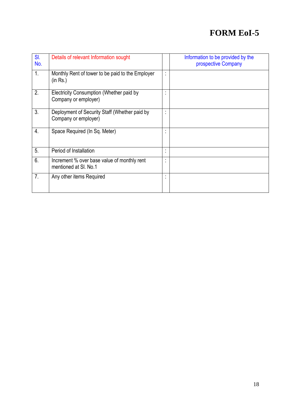# **FORM EoI-5**

| SI.<br>No.     | Details of relevant Information sought                                |                                 | Information to be provided by the<br>prospective Company |
|----------------|-----------------------------------------------------------------------|---------------------------------|----------------------------------------------------------|
| 1.             | Monthly Rent of tower to be paid to the Employer<br>(in Rs.)          | $\cdot$<br>$\ddot{\phantom{a}}$ |                                                          |
| 2.             | Electricity Consumption (Whether paid by<br>Company or employer)      | ٠<br>$\bullet$                  |                                                          |
| 3.             | Deployment of Security Staff (Whether paid by<br>Company or employer) | $\cdot$                         |                                                          |
| 4.             | Space Required (In Sq. Meter)                                         | ٠<br>$\blacksquare$             |                                                          |
| 5 <sub>1</sub> | Period of Installation                                                | ٠<br>$\blacksquare$             |                                                          |
| 6.             | Increment % over base value of monthly rent<br>mentioned at SI, No.1  | $\cdot$                         |                                                          |
| 7.             | Any other items Required                                              | ٠                               |                                                          |